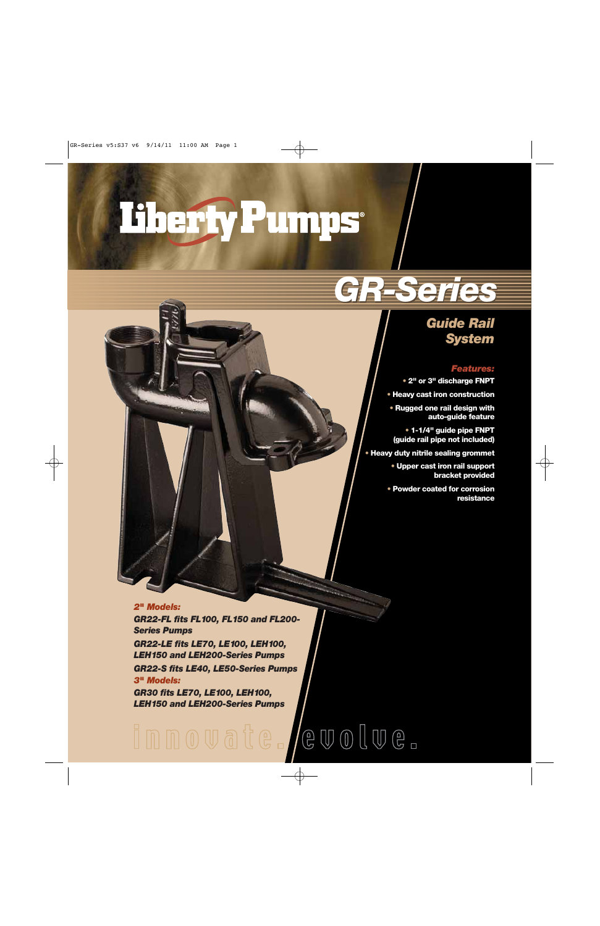# Therfy Pumps

# *GR-Series GR-Series*

### *Guide Rail System*

#### *Features:*

- **• 2" or 3" discharge FNPT**
- **• Heavy cast iron construction**
- **• Rugged one rail design with auto-guide feature**
- **• 1-1/4" guide pipe FNPT (guide rail pipe not included)**
- **• Heavy duty nitrile sealing grommet**
	- **• Upper cast iron rail support bracket provided**
	- **• Powder coated for corrosion resistance**

#### *2" Models:*

*GR22-FL fits FL100, FL150 and FL200- Series Pumps*

*GR22-LE fits LE70, LE100, LEH100, LEH150 and LEH200-Series Pumps*

*GR22-S fits LE40, LE50-Series Pumps 3" Models:*

*GR30 fits LE70, LE100, LEH100, LEH150 and LEH200-Series Pumps*

## $\circledcircled{e\,\,}\mathbb{U}\circledcirc\mathbb{I}\circledcirc\mathbb{e}\text{ }_{\lnot}\circledcirc\;$ Innovate.